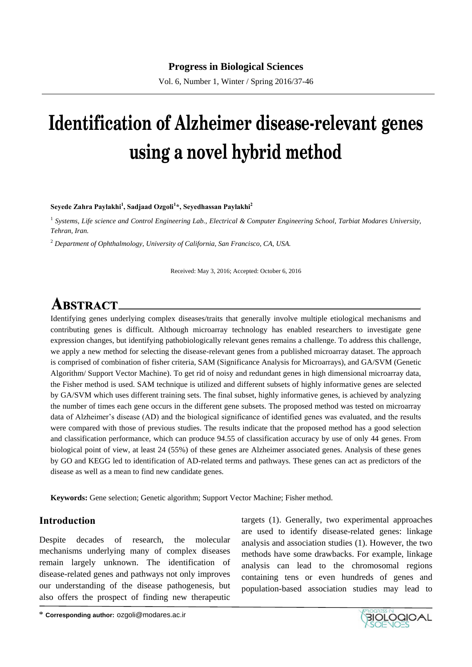Vol. 6, Number 1, Winter / Spring 2016/37-46

# **Identification of Alzheimer disease-relevant genes using a novel hybrid method**

**Seyede Zahra Paylakhi<sup>1</sup> , Sadjaad Ozgoli<sup>1</sup> \*, Seyedhassan Paylakhi<sup>2</sup>**

<sup>1</sup> Systems, Life science and Control Engineering Lab., Electrical & Computer Engineering School, Tarbiat Modares University, *Tehran, Iran.*

<sup>2</sup> *Department of Ophthalmology, University of California, San Francisco, CA, USA.*

Received: May 3, 2016; Accepted: October 6, 2016

## **ABSTRACT.**

Identifying genes underlying complex diseases/traits that generally involve multiple etiological mechanisms and contributing genes is difficult. Although microarray technology has enabled researchers to investigate gene expression changes, but identifying pathobiologically relevant genes remains a challenge. To address this challenge, we apply a new method for selecting the disease-relevant genes from a published microarray dataset. The approach is comprised of combination of fisher criteria, SAM (Significance Analysis for Microarrays), and GA/SVM (Genetic Algorithm/ Support Vector Machine). To get rid of noisy and redundant genes in high dimensional microarray data, the Fisher method is used. SAM technique is utilized and different subsets of highly informative genes are selected by GA/SVM which uses different training sets. The final subset, highly informative genes, is achieved by analyzing the number of times each gene occurs in the different gene subsets. The proposed method was tested on microarray data of Alzheimer's disease (AD) and the biological significance of identified genes was evaluated, and the results were compared with those of previous studies. The results indicate that the proposed method has a good selection and classification performance, which can produce 94.55 of classification accuracy by use of only 44 genes. From biological point of view, at least 24 (55%) of these genes are Alzheimer associated genes. Analysis of these genes by GO and KEGG led to identification of AD-related terms and pathways. These genes can act as predictors of the disease as well as a mean to find new candidate genes.

**Keywords:** Gene selection; Genetic algorithm; Support Vector Machine; Fisher method.

#### **Introduction**

Despite decades of research, the molecular mechanisms underlying many of complex diseases remain largely unknown. The identification of disease-related genes and pathways not only improves our understanding of the disease pathogenesis, but also offers the prospect of finding new therapeutic

targets (1). Generally, two experimental approaches are used to identify disease-related genes: linkage analysis and association studies (1). However, the two methods have some drawbacks. For example, linkage analysis can lead to the chromosomal regions containing tens or even hundreds of genes and population-based association studies may lead to

\* **Corresponding author:** ozgoli@modares.ac.ir

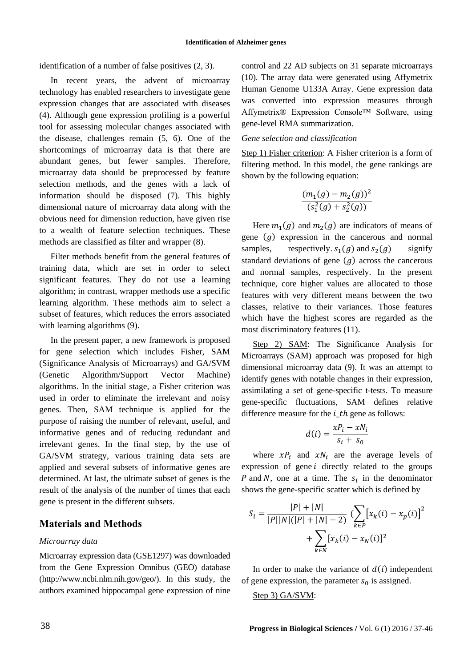identification of a number of false positives (2, 3).

In recent years, the advent of microarray technology has enabled researchers to investigate gene expression changes that are associated with diseases (4). Although gene expression profiling is a powerful tool for assessing molecular changes associated with the disease, challenges remain (5, 6). One of the shortcomings of microarray data is that there are abundant genes, but fewer samples. Therefore, microarray data should be preprocessed by feature selection methods, and the genes with a lack of information should be disposed (7). This highly dimensional nature of microarray data along with the obvious need for dimension reduction, have given rise to a wealth of feature selection techniques. These methods are classified as filter and wrapper (8).

Filter methods benefit from the general features of training data, which are set in order to select significant features. They do not use a learning algorithm; in contrast, wrapper methods use a specific learning algorithm. These methods aim to select a subset of features, which reduces the errors associated with learning algorithms (9).

In the present paper, a new framework is proposed for gene selection which includes Fisher, SAM (Significance Analysis of Microarrays) and GA/SVM (Genetic Algorithm/Support Vector Machine) algorithms. In the initial stage, a Fisher criterion was used in order to eliminate the irrelevant and noisy genes. Then, SAM technique is applied for the purpose of raising the number of relevant, useful, and informative genes and of reducing redundant and irrelevant genes. In the final step, by the use of GA/SVM strategy, various training data sets are applied and several subsets of informative genes are determined. At last, the ultimate subset of genes is the result of the analysis of the number of times that each gene is present in the different subsets.

#### **Materials and Methods**

#### *Microarray data*

Microarray expression data (GSE1297) was downloaded from the Gene Expression Omnibus (GEO) database (http://www.ncbi.nlm.nih.gov/geo/). In this study, the authors examined hippocampal gene expression of nine control and 22 AD subjects on 31 separate microarrays (10). The array data were generated using Affymetrix Human Genome U133A Array. Gene expression data was converted into expression measures through Affymetrix® Expression Console™ Software, using gene-level RMA summarization.

#### *Gene selection and classification*

Step 1) Fisher criterion: A Fisher criterion is a form of filtering method. In this model, the gene rankings are shown by the following equation:

$$
\frac{(m_1(g) - m_2(g))^2}{(s_1^2(g) + s_2^2(g))}
$$

Here  $m_1(g)$  and  $m_2(g)$  are indicators of means of gene  $(g)$  expression in the cancerous and normal samples, respectively.  $s_1(g)$  and  $s_2$ signify standard deviations of gene  $(g)$  across the cancerous and normal samples, respectively. In the present technique, core higher values are allocated to those features with very different means between the two classes, relative to their variances. Those features which have the highest scores are regarded as the most discriminatory features (11).

Step 2) SAM: The Significance Analysis for Microarrays (SAM) approach was proposed for high dimensional microarray data (9). It was an attempt to identify genes with notable changes in their expression, assimilating a set of gene-specific t-tests. To measure gene-specific fluctuations, SAM defines relative difference measure for the  $i$  th gene as follows:

$$
d(i) = \frac{xP_i - xN_i}{s_i + s_0}
$$

where  $xP_i$  and  $xN_i$  are the average levels of expression of gene  $i$  directly related to the groups P and N, one at a time. The  $s_i$  in the denominator shows the gene-specific scatter which is defined by

$$
S_{i} = \frac{|P| + |N|}{|P||N|(|P| + |N| - 2)} \left(\sum_{k \in P} \left[x_{k}(i) - x_{p}(i)\right]^{2} + \sum_{k \in N} \left[x_{k}(i) - x_{N}(i)\right]^{2}\right)
$$

In order to make the variance of  $d(i)$  independent of gene expression, the parameter  $s_0$  is assigned.

#### Step 3) GA/SVM: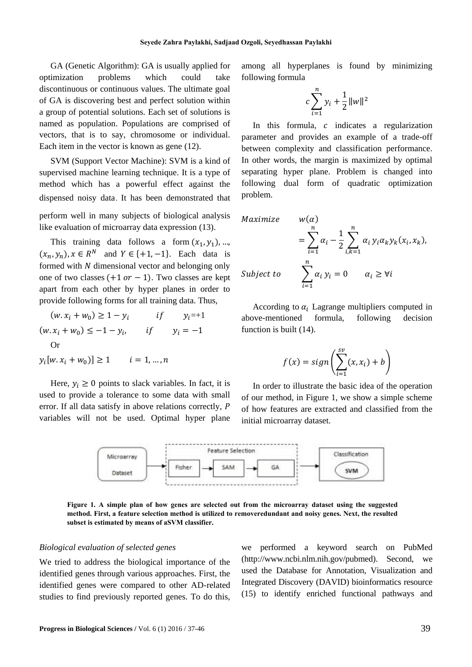GA (Genetic Algorithm): GA is usually applied for optimization problems which could take discontinuous or continuous values. The ultimate goal of GA is discovering best and perfect solution within a group of potential solutions. Each set of solutions is named as population. Populations are comprised of vectors, that is to say, chromosome or individual. Each item in the vector is known as gene (12).

SVM (Support Vector Machine): SVM is a kind of supervised machine learning technique. It is a type of method which has a powerful effect against the dispensed noisy data. It has been demonstrated that

perform well in many subjects of biological analysis like evaluation of microarray data expression (13).

This training data follows a form  $(x_1, y_1)$ , ...,  $(x_n, y_n)$ ,  $x \in \mathbb{R}^N$  and  $Y \in \{+1, -1\}$ . Each data is formed with  $N$  dimensional vector and belonging only one of two classes  $(+1 \text{ or } -1)$ . Two classes are kept apart from each other by hyper planes in order to provide following forms for all training data. Thus,

 $(w. x_i + w_0) \ge 1 - y_i$  $if \quad y_i = +1$  $(w. x_i + w_0) \le -1 - y_i$ , if  $y_i = -1$ Or

 $y_i[w, x_i + w_0)] \ge 1$   $i = 1, ..., n$ 

Here,  $y_i \geq 0$  points to slack variables. In fact, it is used to provide a tolerance to some data with small error. If all data satisfy in above relations correctly, P variables will not be used. Optimal hyper plane among all hyperplanes is found by minimizing following formula

$$
c\sum_{i=1}^{n}y_{i} + \frac{1}{2}||w||^{2}
$$

In this formula,  $c$  indicates a regularization parameter and provides an example of a trade-off between complexity and classification performance. In other words, the margin is maximized by optimal separating hyper plane. Problem is changed into following dual form of quadratic optimization problem.

$$
\begin{aligned}\n\text{Maximize} & \quad w(\alpha) \\
&= \sum_{i=1}^{n} \alpha_i - \frac{1}{2} \sum_{i,k=1}^{n} \alpha_i y_i \alpha_k y_k (x_i, x_k), \\
\text{Subject to} & \quad \sum_{i=1}^{n} \alpha_i y_i = 0 \qquad \alpha_i \ge \forall i\n\end{aligned}
$$

According to  $\alpha_i$  Lagrange multipliers computed in above-mentioned formula, following decision function is built (14).

$$
f(x) = sign\left(\sum_{i=1}^{sv} (x, x_i) + b\right)
$$

In order to illustrate the basic idea of the operation of our method, in Figure 1, we show a simple scheme of how features are extracted and classified from the initial microarray dataset.



**Figure 1. A simple plan of how genes are selected out from the microarray dataset using the suggested method. First, a feature selection method is utilized to removeredundant and noisy genes. Next, the resulted subset is estimated by means of aSVM classifier.**

#### *Biological evaluation of selected genes*

We tried to address the biological importance of the identified genes through various approaches. First, the identified genes were compared to other AD-related studies to find previously reported genes. To do this,

we performed a keyword search on PubMed (http://www.ncbi.nlm.nih.gov/pubmed). Second, we used the Database for Annotation, Visualization and Integrated Discovery (DAVID) bioinformatics resource (15) to identify enriched functional pathways and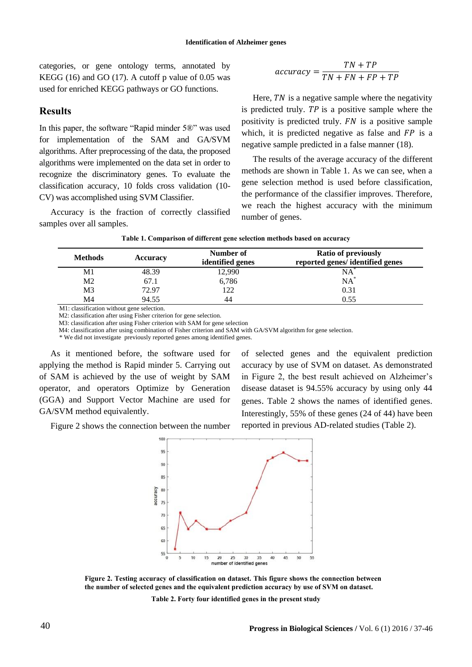categories, or gene ontology terms, annotated by KEGG  $(16)$  and GO  $(17)$ . A cutoff p value of 0.05 was used for enriched KEGG pathways or GO functions.

#### **Results**

In this paper, the software "Rapid minder 5®" was used for implementation of the SAM and GA/SVM algorithms. After preprocessing of the data, the proposed algorithms were implemented on the data set in order to recognize the discriminatory genes. To evaluate the classification accuracy, 10 folds cross validation (10- CV) was accomplished using SVM Classifier.

Accuracy is the fraction of correctly classified samples over all samples.

$$
accuracy = \frac{TN + TP}{TN + FN + FP + TP}
$$

Here,  $TN$  is a negative sample where the negativity is predicted truly.  $TP$  is a positive sample where the positivity is predicted truly.  $FN$  is a positive sample which, it is predicted negative as false and  $FP$  is a negative sample predicted in a false manner (18).

The results of the average accuracy of the different methods are shown in Table 1. As we can see, when a gene selection method is used before classification, the performance of the classifier improves. Therefore, we reach the highest accuracy with the minimum number of genes.

| <b>Methods</b> | <b>Accuracy</b> | <b>Ratio of previously</b><br>Number of<br>reported genes/identified genes<br>identified genes |        |
|----------------|-----------------|------------------------------------------------------------------------------------------------|--------|
| Μ1             | 48.39           | 12,990                                                                                         | NA     |
| Μ2             | 67.1            | 6,786                                                                                          | $NA^*$ |
| M3             | 72.97           | 122                                                                                            | 0.31   |
| M4             | 94.55           | 44                                                                                             | 0.55   |

**Table 1. Comparison of different gene selection methods based on accuracy**

M1: classification without gene selection.

M2: classification after using Fisher criterion for gene selection.

M3: classification after using Fisher criterion with SAM for gene selection

M4: classification after using combination of Fisher criterion and SAM with GA/SVM algorithm for gene selection.

\* We did not investigate previously reported genes among identified genes.

As it mentioned before, the software used for applying the method is Rapid minder 5. Carrying out of SAM is achieved by the use of weight by SAM operator, and operators Optimize by Generation (GGA) and Support Vector Machine are used for GA/SVM method equivalently.

of selected genes and the equivalent prediction accuracy by use of SVM on dataset. As demonstrated in Figure 2, the best result achieved on Alzheimer's disease dataset is 94.55% accuracy by using only 44 genes. Table 2 shows the names of identified genes. Interestingly, 55% of these genes (24 of 44) have been reported in previous AD-related studies (Table 2).

Figure 2 shows the connection between the number



**Figure 2. Testing accuracy of classification on dataset. This figure shows the connection between the number of selected genes and the equivalent prediction accuracy by use of SVM on dataset.**

**Table 2. Forty four identified genes in the present study**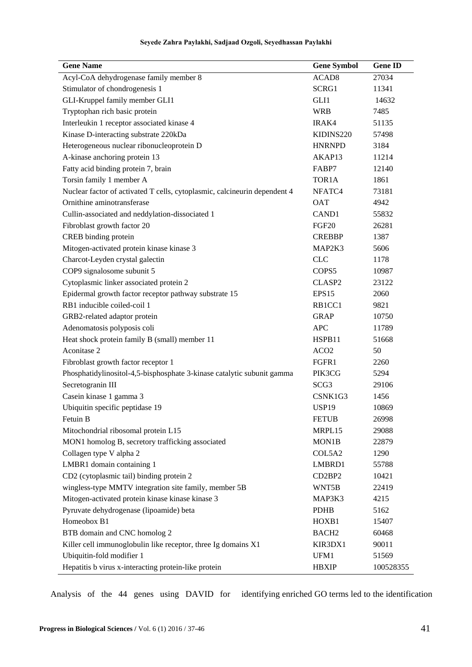| Seyede Zahra Paylakhi, Sadjaad Ozgoli, Seyedhassan Paylakhi |  |  |  |  |  |  |
|-------------------------------------------------------------|--|--|--|--|--|--|
|-------------------------------------------------------------|--|--|--|--|--|--|

| <b>Gene Name</b>                                                          | <b>Gene Symbol</b>              | <b>Gene ID</b> |
|---------------------------------------------------------------------------|---------------------------------|----------------|
| Acyl-CoA dehydrogenase family member 8                                    | ACAD <sub>8</sub>               | 27034          |
| Stimulator of chondrogenesis 1                                            | SCRG1                           | 11341          |
| GLI-Kruppel family member GLI1                                            | GLI1                            | 14632          |
| Tryptophan rich basic protein                                             | <b>WRB</b>                      | 7485           |
| Interleukin 1 receptor associated kinase 4                                | IRAK4                           | 51135          |
| Kinase D-interacting substrate 220kDa                                     | KIDINS220                       | 57498          |
| Heterogeneous nuclear ribonucleoprotein D                                 | <b>HNRNPD</b>                   | 3184           |
| A-kinase anchoring protein 13                                             | AKAP13                          | 11214          |
| Fatty acid binding protein 7, brain                                       | FABP7                           | 12140          |
| Torsin family 1 member A                                                  | TOR <sub>1</sub> A              | 1861           |
| Nuclear factor of activated T cells, cytoplasmic, calcineurin dependent 4 | NFATC4                          | 73181          |
| Ornithine aminotransferase                                                | <b>OAT</b>                      | 4942           |
| Cullin-associated and neddylation-dissociated 1                           | CAND1                           | 55832          |
| Fibroblast growth factor 20                                               | FGF <sub>20</sub>               | 26281          |
| CREB binding protein                                                      | <b>CREBBP</b>                   | 1387           |
| Mitogen-activated protein kinase kinase 3                                 | MAP2K3                          | 5606           |
| Charcot-Leyden crystal galectin                                           | <b>CLC</b>                      | 1178           |
| COP9 signalosome subunit 5                                                | COPS5                           | 10987          |
| Cytoplasmic linker associated protein 2                                   | CLASP <sub>2</sub>              | 23122          |
| Epidermal growth factor receptor pathway substrate 15                     | EPS15                           | 2060           |
| RB1 inducible coiled-coil 1                                               | RB1CC1                          | 9821           |
| GRB2-related adaptor protein                                              | <b>GRAP</b>                     | 10750          |
| Adenomatosis polyposis coli                                               | <b>APC</b>                      | 11789          |
| Heat shock protein family B (small) member 11                             | HSPB11                          | 51668          |
| Aconitase 2                                                               | ACO <sub>2</sub>                | 50             |
| Fibroblast growth factor receptor 1                                       | FGFR1                           | 2260           |
| Phosphatidylinositol-4,5-bisphosphate 3-kinase catalytic subunit gamma    | PIK3CG                          | 5294           |
| Secretogranin III                                                         | SCG <sub>3</sub>                | 29106          |
| Casein kinase 1 gamma 3                                                   | CSNK1G3                         | 1456           |
| Ubiquitin specific peptidase 19                                           | USP19                           | 10869          |
| Fetuin B                                                                  | <b>FETUB</b>                    | 26998          |
| Mitochondrial ribosomal protein L15                                       | MRPL15                          | 29088          |
| MON1 homolog B, secretory trafficking associated                          | MON1B                           | 22879          |
| Collagen type V alpha 2                                                   | COL5A2                          | 1290           |
| LMBR1 domain containing 1                                                 | LMBRD1                          | 55788          |
| CD2 (cytoplasmic tail) binding protein 2                                  | CD <sub>2</sub> BP <sub>2</sub> | 10421          |
| wingless-type MMTV integration site family, member 5B                     | WNT5B                           | 22419          |
| Mitogen-activated protein kinase kinase kinase 3                          | MAP3K3                          | 4215           |
| Pyruvate dehydrogenase (lipoamide) beta                                   | <b>PDHB</b>                     | 5162           |
| Homeobox B1                                                               | HOXB1                           | 15407          |
| BTB domain and CNC homolog 2                                              | BACH <sub>2</sub>               | 60468          |
| Killer cell immunoglobulin like receptor, three Ig domains X1             | KIR3DX1                         | 90011          |
| Ubiquitin-fold modifier 1                                                 | UFM1                            | 51569          |
| Hepatitis b virus x-interacting protein-like protein                      | <b>HBXIP</b>                    | 100528355      |

Analysis of the 44 genes using DAVID for identifying enriched GO terms led to the identification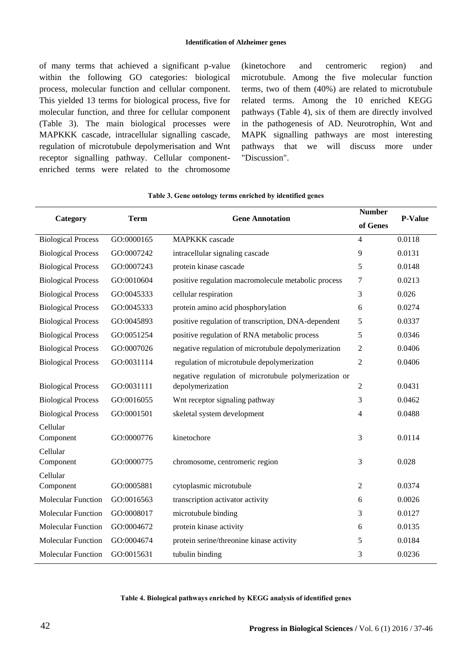of many terms that achieved a significant p-value within the following GO categories: biological process, molecular function and cellular component. This yielded 13 terms for biological process, five for molecular function, and three for cellular component (Table 3). The main biological processes were MAPKKK cascade, intracellular signalling cascade, regulation of microtubule depolymerisation and Wnt receptor signalling pathway. Cellular componentenriched terms were related to the chromosome

(kinetochore and centromeric region) and microtubule. Among the five molecular function terms, two of them (40%) are related to microtubule related terms. Among the 10 enriched KEGG pathways (Table 4), six of them are directly involved in the pathogenesis of AD. Neurotrophin, Wnt and MAPK signalling pathways are most interesting pathways that we will discuss more under "Discussion".

| Category                  | <b>Term</b> | <b>Gene Annotation</b>                               | <b>Number</b>  | <b>P-Value</b> |
|---------------------------|-------------|------------------------------------------------------|----------------|----------------|
|                           |             |                                                      | of Genes       |                |
| <b>Biological Process</b> | GO:0000165  | <b>MAPKKK</b> cascade                                | 4              | 0.0118         |
| <b>Biological Process</b> | GO:0007242  | intracellular signaling cascade                      | 9              | 0.0131         |
| <b>Biological Process</b> | GO:0007243  | protein kinase cascade                               | 5              | 0.0148         |
| <b>Biological Process</b> | GO:0010604  | positive regulation macromolecule metabolic process  | 7              | 0.0213         |
| <b>Biological Process</b> | GO:0045333  | cellular respiration                                 | 3              | 0.026          |
| <b>Biological Process</b> | GO:0045333  | protein amino acid phosphorylation                   | 6              | 0.0274         |
| <b>Biological Process</b> | GO:0045893  | positive regulation of transcription, DNA-dependent  | 5              | 0.0337         |
| <b>Biological Process</b> | GO:0051254  | positive regulation of RNA metabolic process         | 5              | 0.0346         |
| <b>Biological Process</b> | GO:0007026  | negative regulation of microtubule depolymerization  | $\overline{c}$ | 0.0406         |
| <b>Biological Process</b> | GO:0031114  | regulation of microtubule depolymerization           | $\overline{2}$ | 0.0406         |
|                           |             | negative regulation of microtubule polymerization or |                |                |
| <b>Biological Process</b> | GO:0031111  | depolymerization                                     | $\overline{2}$ | 0.0431         |
| <b>Biological Process</b> | GO:0016055  | Wnt receptor signaling pathway                       | 3              | 0.0462         |
| <b>Biological Process</b> | GO:0001501  | skeletal system development                          | 4              | 0.0488         |
| Cellular                  |             |                                                      |                |                |
| Component                 | GO:0000776  | kinetochore                                          | 3              | 0.0114         |
| Cellular                  |             |                                                      |                |                |
| Component                 | GO:0000775  | chromosome, centromeric region                       | 3              | 0.028          |
| Cellular<br>Component     | GO:0005881  | cytoplasmic microtubule                              | $\overline{c}$ | 0.0374         |
| <b>Molecular Function</b> |             |                                                      |                |                |
|                           | GO:0016563  | transcription activator activity                     | 6              | 0.0026         |
| <b>Molecular Function</b> | GO:0008017  | microtubule binding                                  | 3              | 0.0127         |
| Molecular Function        | GO:0004672  | protein kinase activity                              | 6              | 0.0135         |
| <b>Molecular Function</b> | GO:0004674  | protein serine/threonine kinase activity             | 5              | 0.0184         |
| Molecular Function        | GO:0015631  | tubulin binding                                      | 3              | 0.0236         |

#### **Table 3. Gene ontology terms enriched by identified genes**

**Table 4. Biological pathways enriched by KEGG analysis of identified genes**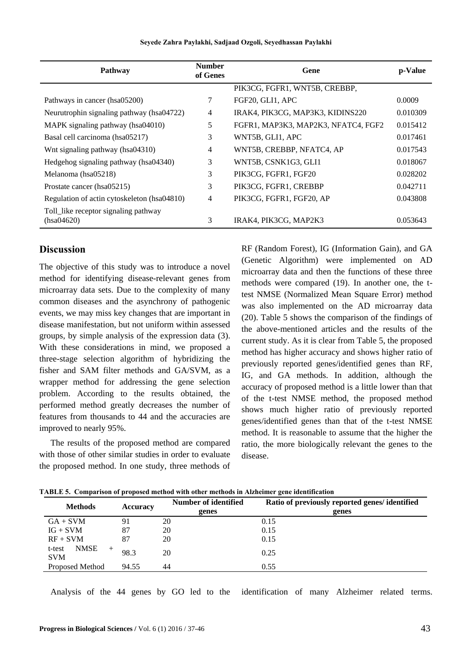| Pathway                                            | <b>Number</b><br>of Genes | Gene                                | p-Value  |
|----------------------------------------------------|---------------------------|-------------------------------------|----------|
|                                                    |                           | PIK3CG, FGFR1, WNT5B, CREBBP,       |          |
| Pathways in cancer (hsa05200)                      | 7                         | FGF20, GLI1, APC                    | 0.0009   |
| Neurutrophin signaling pathway (hsa04722)          | 4                         | IRAK4, PIK3CG, MAP3K3, KIDINS220    | 0.010309 |
| MAPK signaling pathway (hsa04010)                  | 5                         | FGFR1, MAP3K3, MAP2K3, NFATC4, FGF2 | 0.015412 |
| Basal cell carcinoma (hsa05217)                    | 3                         | WNT5B, GLI1, APC                    | 0.017461 |
| Wnt signaling pathway (hsa04310)                   | 4                         | WNT5B, CREBBP, NFATC4, AP           | 0.017543 |
| Hedgehog signaling pathway (hsa04340)              | 3                         | WNT5B, CSNK1G3, GLI1                | 0.018067 |
| Melanoma (hsa05218)                                | 3                         | PIK3CG, FGFR1, FGF20                | 0.028202 |
| Prostate cancer (hsa05215)                         | 3                         | PIK3CG, FGFR1, CREBBP               | 0.042711 |
| Regulation of actin cytoskeleton (hsa04810)        | $\overline{4}$            | PIK3CG, FGFR1, FGF20, AP            | 0.043808 |
| Toll_like receptor signaling pathway<br>(hsa04620) | 3                         | IRAK4, PIK3CG, MAP2K3               | 0.053643 |

#### **Seyede Zahra Paylakhi, Sadjaad Ozgoli, Seyedhassan Paylakhi**

#### **Discussion**

The objective of this study was to introduce a novel method for identifying disease-relevant genes from microarray data sets. Due to the complexity of many common diseases and the asynchrony of pathogenic events, we may miss key changes that are important in disease manifestation, but not uniform within assessed groups, by simple analysis of the expression data (3). With these considerations in mind, we proposed a three-stage selection algorithm of hybridizing the fisher and SAM filter methods and GA/SVM, as a wrapper method for addressing the gene selection problem. According to the results obtained, the performed method greatly decreases the number of features from thousands to 44 and the accuracies are improved to nearly 95%.

The results of the proposed method are compared with those of other similar studies in order to evaluate the proposed method. In one study, three methods of RF (Random Forest), IG (Information Gain), and GA (Genetic Algorithm) were implemented on AD microarray data and then the functions of these three methods were compared (19). In another one, the ttest NMSE (Normalized Mean Square Error) method was also implemented on the AD microarray data (20). Table 5 shows the comparison of the findings of the above-mentioned articles and the results of the current study. As it is clear from Table 5, the proposed method has higher accuracy and shows higher ratio of previously reported genes/identified genes than RF, IG, and GA methods. In addition, although the accuracy of proposed method is a little lower than that of the t-test NMSE method, the proposed method shows much higher ratio of previously reported genes/identified genes than that of the t-test NMSE method. It is reasonable to assume that the higher the ratio, the more biologically relevant the genes to the disease.

|       | Number of identified | Ratio of previously reported genes/identified |
|-------|----------------------|-----------------------------------------------|
|       | genes                | genes                                         |
| 91    | 20                   | 0.15                                          |
| 87    | 20                   | 0.15                                          |
| 87    | 20                   | 0.15                                          |
| 98.3  | 20                   | 0.25                                          |
| 94.55 | 44                   | 0.55                                          |
|       | <b>Accuracy</b>      |                                               |

**TABLE 5. Comparison of proposed method with other methods in Alzheimer gene identification**

Analysis of the 44 genes by GO led to the identification of many Alzheimer related terms.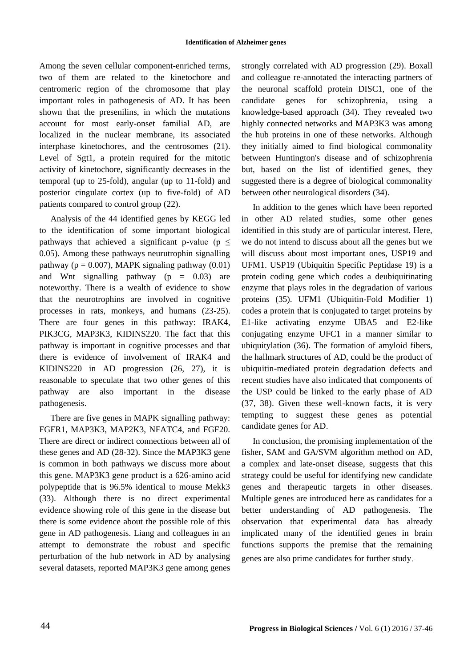Among the seven cellular component-enriched terms, two of them are related to the kinetochore and centromeric region of the chromosome that play important roles in pathogenesis of AD. It has been shown that the presenilins, in which the mutations account for most early-onset familial AD, are localized in the nuclear membrane, its associated interphase kinetochores, and the centrosomes (21). Level of Sgt1, a protein required for the mitotic activity of kinetochore, significantly decreases in the temporal (up to 25-fold), angular (up to 11-fold) and posterior cingulate cortex (up to five-fold) of AD patients compared to control group (22).

Analysis of the 44 identified genes by KEGG led to the identification of some important biological pathways that achieved a significant p-value ( $p \leq$ 0.05). Among these pathways neurutrophin signalling pathway ( $p = 0.007$ ), MAPK signaling pathway (0.01) and Wnt signalling pathway ( $p = 0.03$ ) are noteworthy. There is a wealth of evidence to show that the neurotrophins are involved in cognitive processes in rats, monkeys, and humans (23-25). There are four genes in this pathway: IRAK4, PIK3CG, MAP3K3, KIDINS220. The fact that this pathway is important in cognitive processes and that there is evidence of involvement of IRAK4 and KIDINS220 in AD progression (26, 27), it is reasonable to speculate that two other genes of this pathway are also important in the disease pathogenesis.

There are five genes in MAPK signalling pathway: FGFR1, MAP3K3, MAP2K3, NFATC4, and FGF20. There are direct or indirect connections between all of these genes and AD (28-32). Since the MAP3K3 gene is common in both pathways we discuss more about this gene. MAP3K3 gene product is a 626-amino acid polypeptide that is 96.5% identical to mouse Mekk3 (33). Although there is no direct experimental evidence showing role of this gene in the disease but there is some evidence about the possible role of this gene in AD pathogenesis. Liang and colleagues in an attempt to demonstrate the robust and specific perturbation of the hub network in AD by analysing several datasets, reported MAP3K3 gene among genes

strongly correlated with AD progression (29). Boxall and colleague re-annotated the interacting partners of the neuronal scaffold protein DISC1, one of the candidate genes for schizophrenia, using a knowledge-based approach (34). They revealed two highly connected networks and MAP3K3 was among the hub proteins in one of these networks. Although they initially aimed to find biological commonality between Huntington's disease and of schizophrenia but, based on the list of identified genes, they suggested there is a degree of biological commonality between other neurological disorders (34).

In addition to the genes which have been reported in other AD related studies, some other genes identified in this study are of particular interest. Here, we do not intend to discuss about all the genes but we will discuss about most important ones, USP19 and UFM1. USP19 (Ubiquitin Specific Peptidase 19) is a protein coding gene which codes a deubiquitinating enzyme that plays roles in the degradation of various proteins (35). UFM1 (Ubiquitin-Fold Modifier 1) codes a protein that is conjugated to target proteins by E1-like activating enzyme UBA5 and E2-like conjugating enzyme UFC1 in a manner similar to ubiquitylation (36). The formation of amyloid fibers, the hallmark structures of AD, could be the product of ubiquitin-mediated protein degradation defects and recent studies have also indicated that components of the USP could be linked to the early phase of AD (37, 38). Given these well-known facts, it is very tempting to suggest these genes as potential candidate genes for AD.

In conclusion, the promising implementation of the fisher, SAM and GA/SVM algorithm method on AD, a complex and late-onset disease, suggests that this strategy could be useful for identifying new candidate genes and therapeutic targets in other diseases. Multiple genes are introduced here as candidates for a better understanding of AD pathogenesis. The observation that experimental data has already implicated many of the identified genes in brain functions supports the premise that the remaining genes are also prime candidates for further study.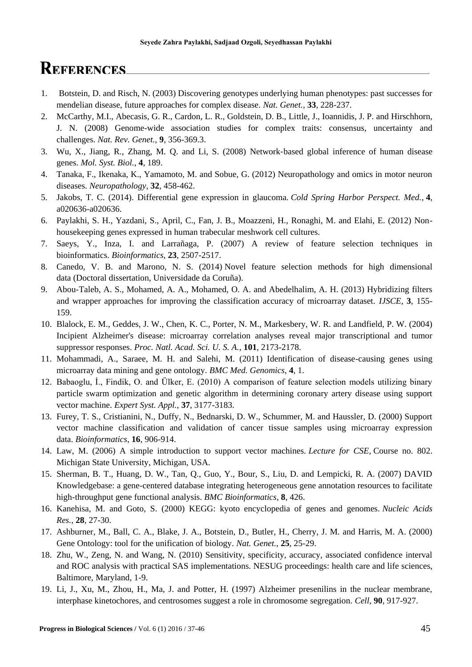### **REFERENCES**

- 1. Botstein, D. and Risch, N. (2003) Discovering genotypes underlying human phenotypes: past successes for mendelian disease, future approaches for complex disease. *Nat. Genet.*, **33**, 228-237.
- 2. McCarthy, M.I., Abecasis, G. R., Cardon, L. R., Goldstein, D. B., Little, J., Ioannidis, J. P. and Hirschhorn, J. N. (2008) Genome-wide association studies for complex traits: consensus, uncertainty and challenges. *Nat. Rev. Genet.*, **9**, 356-369.3.
- 3. Wu, X., Jiang, R., Zhang, M. Q. and Li, S. (2008) Network‐based global inference of human disease genes. *Mol. Syst. Biol.*, **4**, 189.
- 4. Tanaka, F., Ikenaka, K., Yamamoto, M. and Sobue, G. (2012) Neuropathology and omics in motor neuron diseases. *Neuropathology*, **32**, 458-462.
- 5. Jakobs, T. C. (2014). Differential gene expression in glaucoma. *Cold Spring Harbor Perspect. Med.*, **4**, a020636-a020636.
- 6. Paylakhi, S. H., Yazdani, S., April, C., Fan, J. B., Moazzeni, H., Ronaghi, M. and Elahi, E. (2012) Nonhousekeeping genes expressed in human trabecular meshwork cell cultures.
- 7. Saeys, Y., Inza, I. and Larrañaga, P. (2007) A review of feature selection techniques in bioinformatics. *Bioinformatics*, **23**, 2507-2517.
- 8. Canedo, V. B. and Marono, N. S. (2014) Novel feature selection methods for high dimensional data (Doctoral dissertation, Universidade da Coruña).
- 9. Abou-Taleb, A. S., Mohamed, A. A., Mohamed, O. A. and Abedelhalim, A. H. (2013) Hybridizing filters and wrapper approaches for improving the classification accuracy of microarray dataset. *IJSCE*, **3**, 155- 159.
- 10. Blalock, E. M., Geddes, J. W., Chen, K. C., Porter, N. M., Markesbery, W. R. and Landfield, P. W. (2004) Incipient Alzheimer's disease: microarray correlation analyses reveal major transcriptional and tumor suppressor responses. *Proc. Natl. Acad. Sci. U. S. A.*, **101**, 2173-2178.
- 11. Mohammadi, A., Saraee, M. H. and Salehi, M. (2011) Identification of disease-causing genes using microarray data mining and gene ontology. *BMC Med. Genomics*, **4**, 1.
- 12. Babaoglu, İ., Findik, O. and Ülker, E. (2010) A comparison of feature selection models utilizing binary particle swarm optimization and genetic algorithm in determining coronary artery disease using support vector machine. *Expert Syst. Appl.*, **37**, 3177-3183.
- 13. Furey, T. S., Cristianini, N., Duffy, N., Bednarski, D. W., Schummer, M. and Haussler, D. (2000) Support vector machine classification and validation of cancer tissue samples using microarray expression data. *Bioinformatics*, **16**, 906-914.
- 14. Law, M. (2006) A simple introduction to support vector machines. *Lecture for CSE*, Course no. 802. Michigan State University, Michigan, USA.
- 15. Sherman, B. T., Huang, D. W., Tan, Q., Guo, Y., Bour, S., Liu, D. and Lempicki, R. A. (2007) DAVID Knowledgebase: a gene-centered database integrating heterogeneous gene annotation resources to facilitate high-throughput gene functional analysis. *BMC Bioinformatics*, **8**, 426.
- 16. Kanehisa, M. and Goto, S. (2000) KEGG: kyoto encyclopedia of genes and genomes. *Nucleic Acids Res.*, **28**, 27-30.
- 17. Ashburner, M., Ball, C. A., Blake, J. A., Botstein, D., Butler, H., Cherry, J. M. and Harris, M. A. (2000) Gene Ontology: tool for the unification of biology. *Nat. Genet.*, **25**, 25-29.
- 18. Zhu, W., Zeng, N. and Wang, N. (2010) Sensitivity, specificity, accuracy, associated confidence interval and ROC analysis with practical SAS implementations. NESUG proceedings: health care and life sciences, Baltimore, Maryland, 1-9.
- 19. Li, J., Xu, M., Zhou, H., Ma, J. and Potter, H. (1997) Alzheimer presenilins in the nuclear membrane, interphase kinetochores, and centrosomes suggest a role in chromosome segregation. *Cell*, **90**, 917-927.